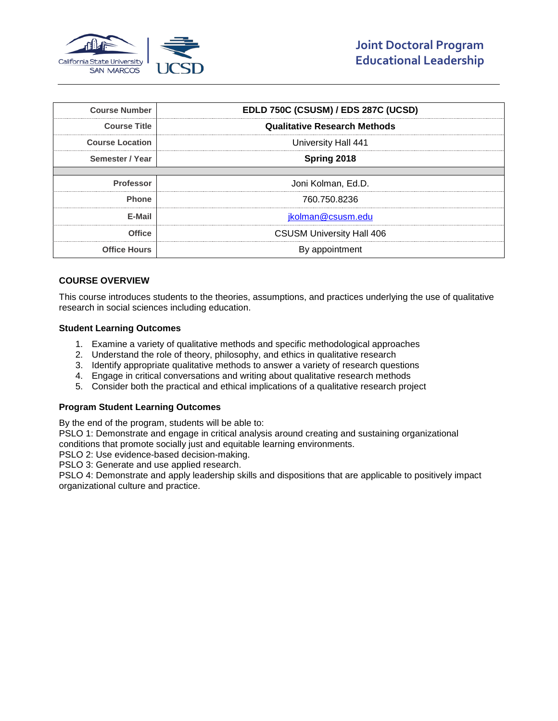

| <b>Course Number</b>    | EDLD 750C (CSUSM) / EDS 287C (UCSD) |  |
|-------------------------|-------------------------------------|--|
| <br><b>Course Title</b> | <b>Qualitative Research Methods</b> |  |
| <b>Course Location</b>  | University Hall 441                 |  |
| Semester / Year         | Spring 2018                         |  |
|                         |                                     |  |
| <b>Professor</b>        | Joni Kolman, Ed.D.                  |  |
| <b>Phone</b>            | 760.750.8236                        |  |
| F-Mail                  | jkolman@csusm.edu                   |  |
| <b>Office</b>           | <b>CSUSM University Hall 406</b>    |  |
| <b>Office Hours</b>     | By appointment                      |  |

# **COURSE OVERVIEW**

This course introduces students to the theories, assumptions, and practices underlying the use of qualitative research in social sciences including education.

#### **Student Learning Outcomes**

- 1. Examine a variety of qualitative methods and specific methodological approaches
- 2. Understand the role of theory, philosophy, and ethics in qualitative research
- 3. Identify appropriate qualitative methods to answer a variety of research questions
- 4. Engage in critical conversations and writing about qualitative research methods
- 5. Consider both the practical and ethical implications of a qualitative research project

# **Program Student Learning Outcomes**

By the end of the program, students will be able to:

PSLO 1: Demonstrate and engage in critical analysis around creating and sustaining organizational conditions that promote socially just and equitable learning environments.

PSLO 2: Use evidence-based decision-making.

PSLO 3: Generate and use applied research.

PSLO 4: Demonstrate and apply leadership skills and dispositions that are applicable to positively impact organizational culture and practice.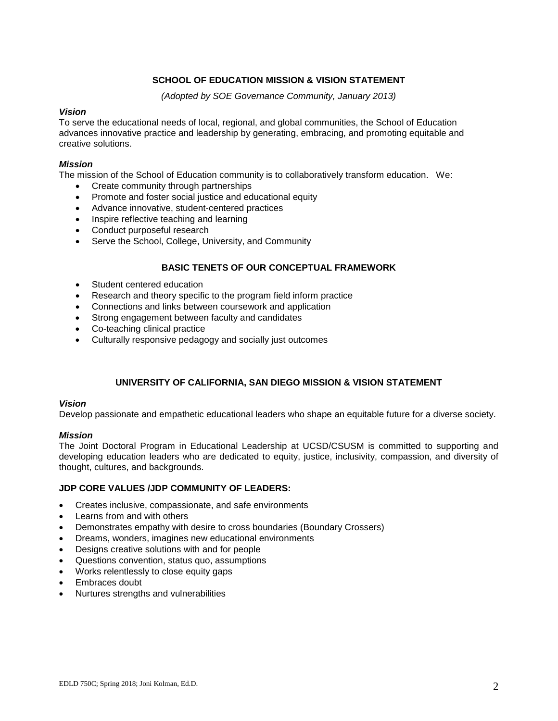# **SCHOOL OF EDUCATION MISSION & VISION STATEMENT**

*(Adopted by SOE Governance Community, January 2013)*

## *Vision*

To serve the educational needs of local, regional, and global communities, the School of Education advances innovative practice and leadership by generating, embracing, and promoting equitable and creative solutions.

## *Mission*

The mission of the School of Education community is to collaboratively transform education. We:

- Create community through partnerships
- Promote and foster social justice and educational equity
- Advance innovative, student-centered practices
- Inspire reflective teaching and learning
- Conduct purposeful research
- Serve the School, College, University, and Community

# **BASIC TENETS OF OUR CONCEPTUAL FRAMEWORK**

- Student centered education
- Research and theory specific to the program field inform practice
- Connections and links between coursework and application
- Strong engagement between faculty and candidates
- Co-teaching clinical practice
- Culturally responsive pedagogy and socially just outcomes

# **UNIVERSITY OF CALIFORNIA, SAN DIEGO MISSION & VISION STATEMENT**

## *Vision*

Develop passionate and empathetic educational leaders who shape an equitable future for a diverse society.

## *Mission*

The Joint Doctoral Program in Educational Leadership at UCSD/CSUSM is committed to supporting and developing education leaders who are dedicated to equity, justice, inclusivity, compassion, and diversity of thought, cultures, and backgrounds.

## **JDP CORE VALUES /JDP COMMUNITY OF LEADERS:**

- Creates inclusive, compassionate, and safe environments
- Learns from and with others
- Demonstrates empathy with desire to cross boundaries (Boundary Crossers)
- Dreams, wonders, imagines new educational environments
- Designs creative solutions with and for people
- Questions convention, status quo, assumptions
- Works relentlessly to close equity gaps
- Embraces doubt
- Nurtures strengths and vulnerabilities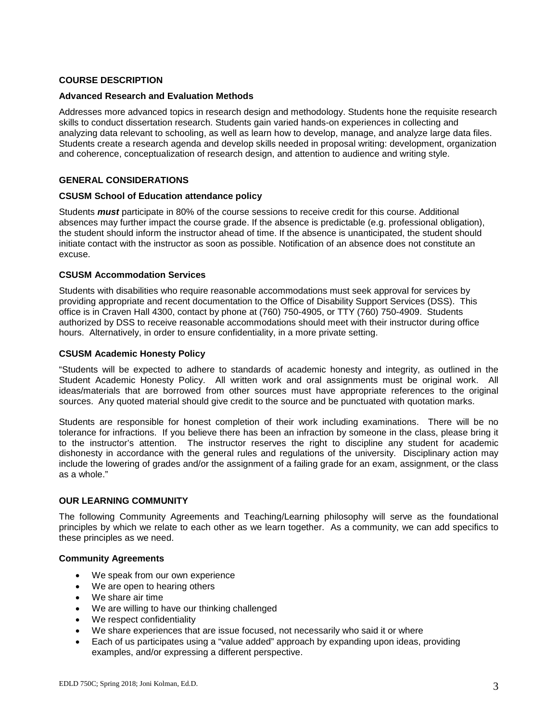## **COURSE DESCRIPTION**

## **Advanced Research and Evaluation Methods**

Addresses more advanced topics in research design and methodology. Students hone the requisite research skills to conduct dissertation research. Students gain varied hands-on experiences in collecting and analyzing data relevant to schooling, as well as learn how to develop, manage, and analyze large data files. Students create a research agenda and develop skills needed in proposal writing: development, organization and coherence, conceptualization of research design, and attention to audience and writing style.

## **GENERAL CONSIDERATIONS**

#### **CSUSM School of Education attendance policy**

Students *must* participate in 80% of the course sessions to receive credit for this course. Additional absences may further impact the course grade. If the absence is predictable (e.g. professional obligation), the student should inform the instructor ahead of time. If the absence is unanticipated, the student should initiate contact with the instructor as soon as possible. Notification of an absence does not constitute an excuse.

#### **CSUSM Accommodation Services**

Students with disabilities who require reasonable accommodations must seek approval for services by providing appropriate and recent documentation to the Office of Disability Support Services (DSS). This office is in Craven Hall 4300, contact by phone at (760) 750-4905, or TTY (760) 750-4909. Students authorized by DSS to receive reasonable accommodations should meet with their instructor during office hours. Alternatively, in order to ensure confidentiality, in a more private setting.

#### **CSUSM Academic Honesty Policy**

"Students will be expected to adhere to standards of academic honesty and integrity, as outlined in the Student Academic Honesty Policy. All written work and oral assignments must be original work. All ideas/materials that are borrowed from other sources must have appropriate references to the original sources. Any quoted material should give credit to the source and be punctuated with quotation marks.

Students are responsible for honest completion of their work including examinations. There will be no tolerance for infractions. If you believe there has been an infraction by someone in the class, please bring it to the instructor's attention. The instructor reserves the right to discipline any student for academic dishonesty in accordance with the general rules and regulations of the university. Disciplinary action may include the lowering of grades and/or the assignment of a failing grade for an exam, assignment, or the class as a whole."

## **OUR LEARNING COMMUNITY**

The following Community Agreements and Teaching/Learning philosophy will serve as the foundational principles by which we relate to each other as we learn together. As a community, we can add specifics to these principles as we need.

## **Community Agreements**

- We speak from our own experience
- We are open to hearing others
- We share air time
- We are willing to have our thinking challenged
- We respect confidentiality
- We share experiences that are issue focused, not necessarily who said it or where
- Each of us participates using a "value added" approach by expanding upon ideas, providing examples, and/or expressing a different perspective.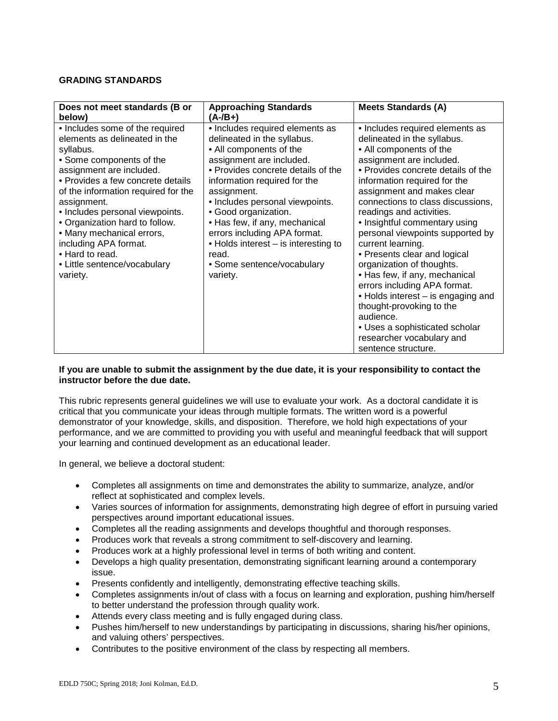## **GRADING STANDARDS**

| Does not meet standards (B or<br>below)                                                                                                                                                                                                                                                                                                                                                                                    | <b>Approaching Standards</b><br>$(A - /B +)$                                                                                                                                                                                                                                                                                                                                                                                      | <b>Meets Standards (A)</b>                                                                                                                                                                                                                                                                                                                                                                                                                                                                                                                                                                                                                                                              |
|----------------------------------------------------------------------------------------------------------------------------------------------------------------------------------------------------------------------------------------------------------------------------------------------------------------------------------------------------------------------------------------------------------------------------|-----------------------------------------------------------------------------------------------------------------------------------------------------------------------------------------------------------------------------------------------------------------------------------------------------------------------------------------------------------------------------------------------------------------------------------|-----------------------------------------------------------------------------------------------------------------------------------------------------------------------------------------------------------------------------------------------------------------------------------------------------------------------------------------------------------------------------------------------------------------------------------------------------------------------------------------------------------------------------------------------------------------------------------------------------------------------------------------------------------------------------------------|
| • Includes some of the required<br>elements as delineated in the<br>syllabus.<br>• Some components of the<br>assignment are included.<br>• Provides a few concrete details<br>of the information required for the<br>assignment.<br>• Includes personal viewpoints.<br>• Organization hard to follow.<br>• Many mechanical errors,<br>including APA format.<br>• Hard to read.<br>• Little sentence/vocabulary<br>variety. | • Includes required elements as<br>delineated in the syllabus.<br>• All components of the<br>assignment are included.<br>• Provides concrete details of the<br>information required for the<br>assignment.<br>· Includes personal viewpoints.<br>• Good organization.<br>• Has few, if any, mechanical<br>errors including APA format.<br>• Holds interest – is interesting to<br>read.<br>• Some sentence/vocabulary<br>variety. | • Includes required elements as<br>delineated in the syllabus.<br>• All components of the<br>assignment are included.<br>• Provides concrete details of the<br>information required for the<br>assignment and makes clear<br>connections to class discussions,<br>readings and activities.<br>• Insightful commentary using<br>personal viewpoints supported by<br>current learning.<br>• Presents clear and logical<br>organization of thoughts.<br>• Has few, if any, mechanical<br>errors including APA format.<br>• Holds interest – is engaging and<br>thought-provoking to the<br>audience.<br>• Uses a sophisticated scholar<br>researcher vocabulary and<br>sentence structure. |

## **If you are unable to submit the assignment by the due date, it is your responsibility to contact the instructor before the due date.**

This rubric represents general guidelines we will use to evaluate your work. As a doctoral candidate it is critical that you communicate your ideas through multiple formats. The written word is a powerful demonstrator of your knowledge, skills, and disposition. Therefore, we hold high expectations of your performance, and we are committed to providing you with useful and meaningful feedback that will support your learning and continued development as an educational leader.

In general, we believe a doctoral student:

- Completes all assignments on time and demonstrates the ability to summarize, analyze, and/or reflect at sophisticated and complex levels.
- Varies sources of information for assignments, demonstrating high degree of effort in pursuing varied perspectives around important educational issues.
- Completes all the reading assignments and develops thoughtful and thorough responses.
- Produces work that reveals a strong commitment to self-discovery and learning.
- Produces work at a highly professional level in terms of both writing and content.
- Develops a high quality presentation, demonstrating significant learning around a contemporary issue.
- Presents confidently and intelligently, demonstrating effective teaching skills.
- Completes assignments in/out of class with a focus on learning and exploration, pushing him/herself to better understand the profession through quality work.
- Attends every class meeting and is fully engaged during class.
- Pushes him/herself to new understandings by participating in discussions, sharing his/her opinions, and valuing others' perspectives.
- Contributes to the positive environment of the class by respecting all members.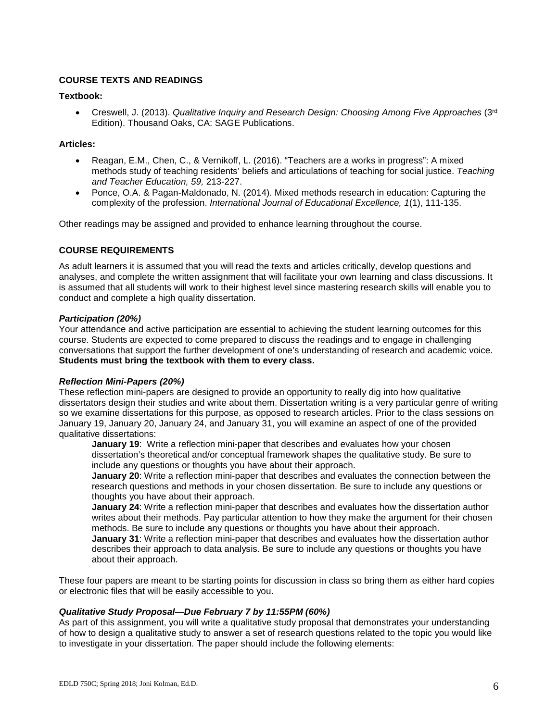# **COURSE TEXTS AND READINGS**

## **Textbook:**

• Creswell, J. (2013). *Qualitative Inquiry and Research Design: Choosing Among Five Approaches* (3rd Edition). Thousand Oaks, CA: SAGE Publications.

## **Articles:**

- Reagan, E.M., Chen, C., & Vernikoff, L. (2016). "Teachers are a works in progress": A mixed methods study of teaching residents' beliefs and articulations of teaching for social justice. *Teaching and Teacher Education, 59,* 213-227.
- Ponce, O.A. & Pagan-Maldonado, N. (2014). Mixed methods research in education: Capturing the complexity of the profession. *International Journal of Educational Excellence, 1*(1), 111-135.

Other readings may be assigned and provided to enhance learning throughout the course.

# **COURSE REQUIREMENTS**

As adult learners it is assumed that you will read the texts and articles critically, develop questions and analyses, and complete the written assignment that will facilitate your own learning and class discussions. It is assumed that all students will work to their highest level since mastering research skills will enable you to conduct and complete a high quality dissertation.

## *Participation (20%)*

Your attendance and active participation are essential to achieving the student learning outcomes for this course. Students are expected to come prepared to discuss the readings and to engage in challenging conversations that support the further development of one's understanding of research and academic voice. **Students must bring the textbook with them to every class.** 

## *Reflection Mini-Papers (20%)*

These reflection mini-papers are designed to provide an opportunity to really dig into how qualitative dissertators design their studies and write about them. Dissertation writing is a very particular genre of writing so we examine dissertations for this purpose, as opposed to research articles. Prior to the class sessions on January 19, January 20, January 24, and January 31, you will examine an aspect of one of the provided qualitative dissertations:

**January 19:** Write a reflection mini-paper that describes and evaluates how your chosen dissertation's theoretical and/or conceptual framework shapes the qualitative study. Be sure to include any questions or thoughts you have about their approach.

**January 20**: Write a reflection mini-paper that describes and evaluates the connection between the research questions and methods in your chosen dissertation. Be sure to include any questions or thoughts you have about their approach.

**January 24**: Write a reflection mini-paper that describes and evaluates how the dissertation author writes about their methods. Pay particular attention to how they make the argument for their chosen methods. Be sure to include any questions or thoughts you have about their approach.

**January 31**: Write a reflection mini-paper that describes and evaluates how the dissertation author describes their approach to data analysis. Be sure to include any questions or thoughts you have about their approach.

These four papers are meant to be starting points for discussion in class so bring them as either hard copies or electronic files that will be easily accessible to you.

## *Qualitative Study Proposal—Due February 7 by 11:55PM (60%)*

As part of this assignment, you will write a qualitative study proposal that demonstrates your understanding of how to design a qualitative study to answer a set of research questions related to the topic you would like to investigate in your dissertation. The paper should include the following elements: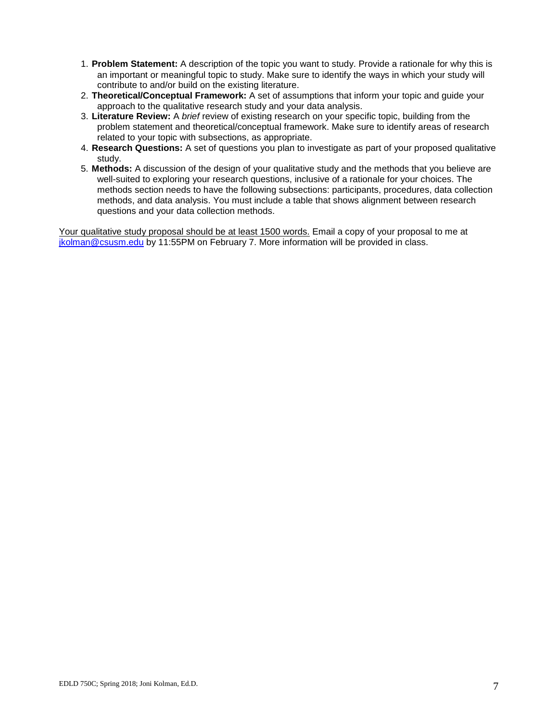- 1. **Problem Statement:** A description of the topic you want to study. Provide a rationale for why this is an important or meaningful topic to study. Make sure to identify the ways in which your study will contribute to and/or build on the existing literature.
- 2. **Theoretical/Conceptual Framework:** A set of assumptions that inform your topic and guide your approach to the qualitative research study and your data analysis.
- 3. **Literature Review:** A *brief* review of existing research on your specific topic, building from the problem statement and theoretical/conceptual framework. Make sure to identify areas of research related to your topic with subsections, as appropriate.
- 4. **Research Questions:** A set of questions you plan to investigate as part of your proposed qualitative study.
- 5. **Methods:** A discussion of the design of your qualitative study and the methods that you believe are well-suited to exploring your research questions, inclusive of a rationale for your choices. The methods section needs to have the following subsections: participants, procedures, data collection methods, and data analysis. You must include a table that shows alignment between research questions and your data collection methods.

Your qualitative study proposal should be at least 1500 words. Email a copy of your proposal to me at [jkolman@csusm.edu](mailto:jkolman@csusm.edu) by 11:55PM on February 7. More information will be provided in class.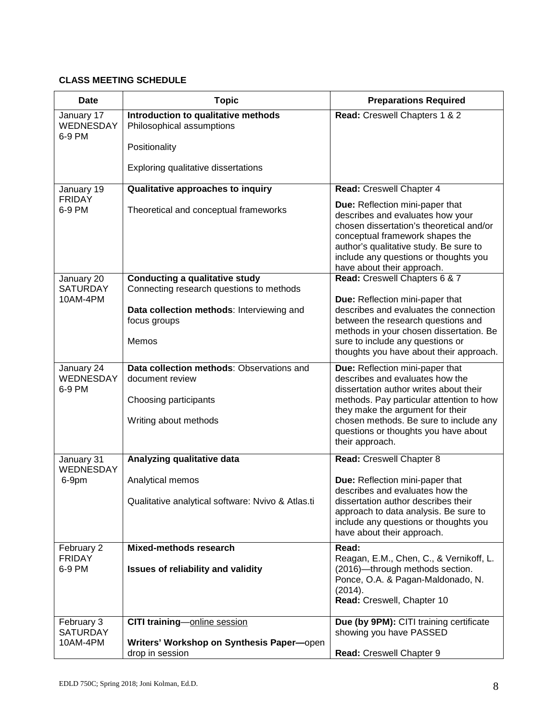# **CLASS MEETING SCHEDULE**

| <b>Date</b>                           | <b>Topic</b>                                                                                                   | <b>Preparations Required</b>                                                                                                                                                                                                                                                                      |
|---------------------------------------|----------------------------------------------------------------------------------------------------------------|---------------------------------------------------------------------------------------------------------------------------------------------------------------------------------------------------------------------------------------------------------------------------------------------------|
| January 17<br>WEDNESDAY<br>6-9 PM     | Introduction to qualitative methods<br>Philosophical assumptions                                               | Read: Creswell Chapters 1 & 2                                                                                                                                                                                                                                                                     |
|                                       | Positionality                                                                                                  |                                                                                                                                                                                                                                                                                                   |
|                                       | Exploring qualitative dissertations                                                                            |                                                                                                                                                                                                                                                                                                   |
| January 19<br><b>FRIDAY</b><br>6-9 PM | Qualitative approaches to inquiry                                                                              | Read: Creswell Chapter 4                                                                                                                                                                                                                                                                          |
|                                       | Theoretical and conceptual frameworks                                                                          | <b>Due:</b> Reflection mini-paper that<br>describes and evaluates how your<br>chosen dissertation's theoretical and/or<br>conceptual framework shapes the<br>author's qualitative study. Be sure to<br>include any questions or thoughts you<br>have about their approach.                        |
| January 20<br><b>SATURDAY</b>         | <b>Conducting a qualitative study</b><br>Connecting research questions to methods                              | Read: Creswell Chapters 6 & 7                                                                                                                                                                                                                                                                     |
| 10AM-4PM                              | Data collection methods: Interviewing and<br>focus groups<br>Memos                                             | Due: Reflection mini-paper that<br>describes and evaluates the connection<br>between the research questions and<br>methods in your chosen dissertation. Be<br>sure to include any questions or                                                                                                    |
|                                       |                                                                                                                | thoughts you have about their approach.                                                                                                                                                                                                                                                           |
| January 24<br>WEDNESDAY<br>6-9 PM     | Data collection methods: Observations and<br>document review<br>Choosing participants<br>Writing about methods | Due: Reflection mini-paper that<br>describes and evaluates how the<br>dissertation author writes about their<br>methods. Pay particular attention to how<br>they make the argument for their<br>chosen methods. Be sure to include any<br>questions or thoughts you have about<br>their approach. |
| January 31<br>WEDNESDAY               | Analyzing qualitative data                                                                                     | Read: Creswell Chapter 8                                                                                                                                                                                                                                                                          |
| 6-9pm                                 | Analytical memos<br>Qualitative analytical software: Nvivo & Atlas.ti                                          | Due: Reflection mini-paper that<br>describes and evaluates how the<br>dissertation author describes their<br>approach to data analysis. Be sure to<br>include any questions or thoughts you<br>have about their approach.                                                                         |
| February 2                            | Mixed-methods research                                                                                         | Read:                                                                                                                                                                                                                                                                                             |
| <b>FRIDAY</b><br>6-9 PM               | Issues of reliability and validity                                                                             | Reagan, E.M., Chen, C., & Vernikoff, L.<br>(2016)-through methods section.<br>Ponce, O.A. & Pagan-Maldonado, N.<br>(2014).<br>Read: Creswell, Chapter 10                                                                                                                                          |
| February 3<br><b>SATURDAY</b>         | CITI training-online session                                                                                   | Due (by 9PM): CITI training certificate<br>showing you have PASSED                                                                                                                                                                                                                                |
| 10AM-4PM                              | Writers' Workshop on Synthesis Paper-open                                                                      |                                                                                                                                                                                                                                                                                                   |
|                                       | drop in session                                                                                                | Read: Creswell Chapter 9                                                                                                                                                                                                                                                                          |